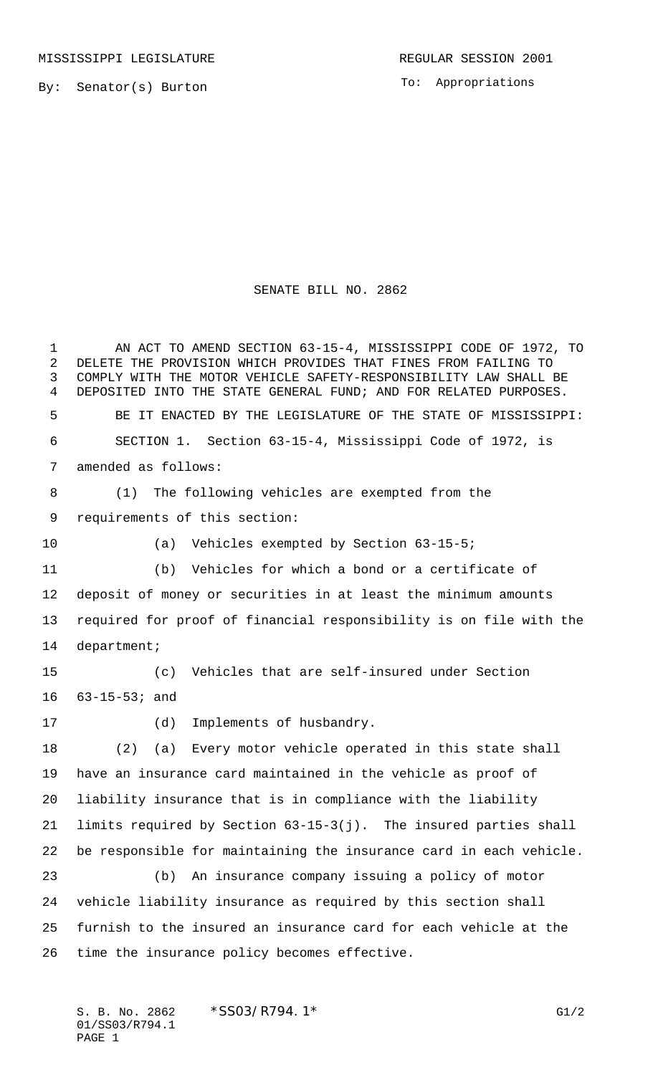By: Senator(s) Burton

To: Appropriations

## SENATE BILL NO. 2862

 AN ACT TO AMEND SECTION 63-15-4, MISSISSIPPI CODE OF 1972, TO DELETE THE PROVISION WHICH PROVIDES THAT FINES FROM FAILING TO COMPLY WITH THE MOTOR VEHICLE SAFETY-RESPONSIBILITY LAW SHALL BE DEPOSITED INTO THE STATE GENERAL FUND; AND FOR RELATED PURPOSES. BE IT ENACTED BY THE LEGISLATURE OF THE STATE OF MISSISSIPPI: SECTION 1. Section 63-15-4, Mississippi Code of 1972, is amended as follows: (1) The following vehicles are exempted from the requirements of this section: (a) Vehicles exempted by Section 63-15-5; (b) Vehicles for which a bond or a certificate of deposit of money or securities in at least the minimum amounts required for proof of financial responsibility is on file with the department; (c) Vehicles that are self-insured under Section 63-15-53; and (d) Implements of husbandry. (2) (a) Every motor vehicle operated in this state shall have an insurance card maintained in the vehicle as proof of liability insurance that is in compliance with the liability limits required by Section 63-15-3(j). The insured parties shall be responsible for maintaining the insurance card in each vehicle. (b) An insurance company issuing a policy of motor vehicle liability insurance as required by this section shall furnish to the insured an insurance card for each vehicle at the time the insurance policy becomes effective.

S. B. No. 2862 \* SSO3/R794.1\* G1/2 01/SS03/R794.1 PAGE 1